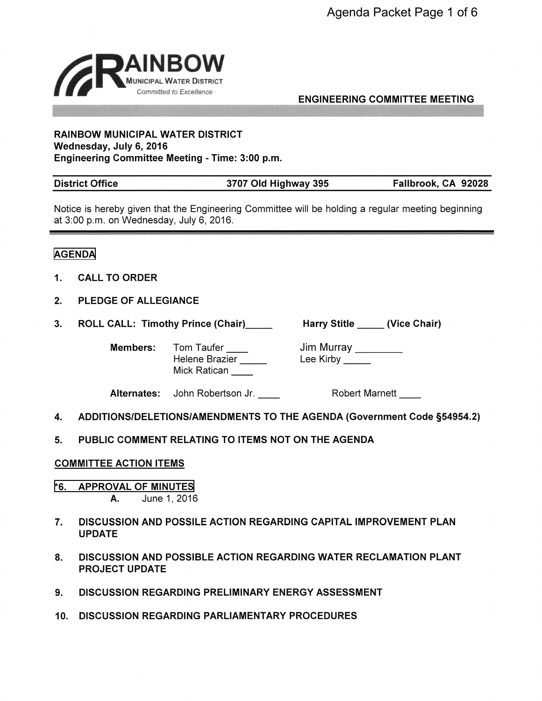

ENGINEERING COMMITTEE MEETING

### **RAINBOW MUNICIPAL WATER DISTRICT Wednesday, July 6, 2016 Engineering Committee Meeting** - **Time: 3:00 p.m.**

| <b>District Office</b> | 3707 Old Highway 395 | Fallbrook, CA 92028 |
|------------------------|----------------------|---------------------|
|------------------------|----------------------|---------------------|

Notice is hereby given that the Engineering Committee will be holding a regular meeting beginning at 3:00 p.m. on Wednesday, July 6, 2016.

# **AGENDA**

- **1. CALL TO ORDER**
- **2. PLEDGE OF ALLEGIANCE**
- 3. ROLL CALL: Timothy Prince (Chair)\_\_\_\_\_\_ Harry Stitle \_\_\_\_\_ (Vice Chair)

**Members:** Tom Taufer

Helene Brazier Tom Taufer \_\_\_\_<br>Helene Brazier \_\_\_\_\_<br>Mick Ratican \_\_\_\_\_

Jim Murray \_\_\_\_\_\_\_\_ Jim Murray \_\_\_\_<br>Lee Kirby \_\_\_\_\_\_

**Alternates:** John Robertson Jr. Robert Marnett

- **4. ADDITIONS/DELETIONS/AMENDMENTS TO THE AGENDA (Government Code §54954.2)**
- **5. PUBLIC COMMENT RELATING** TO **ITEMS NOT ON** THE **AGENDA**

# **COMMITTEE ACTION ITEMS**

- **[\\*6. APPROVAL](#page-2-0)** OF **MINUTES A.** June 1, 2016
- 7. **DISCUSSION AND POSSILE ACTION REGARDING CAPITAL IMPROVEMENT PLAN UPDATE**
- **8. DISCUSSION AND POSSIBLE ACTION REGARDING WATER RECLAMATION PLANT PROJECT UPDATE**
- **9. DISCUSSION REGARDING PRELIMINARY ENERGY ASSESSMENT**
- **10. DISCUSSION REGARDING PARLIAMENTARY PROCEDURES**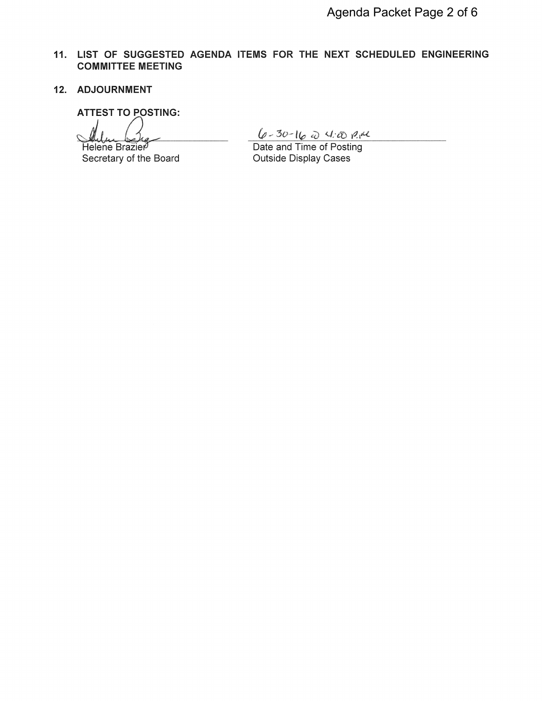- **11. LIST OF SUGGESTED AGENDA ITEMS FOR THE NEXT SCHEDULED ENGINEERING COMMITTEE MEETING**
- **12. ADJOURNMENT**

**ATTEST TO POSTING:** 

*J.J. ()*<br>Helene Brazier

Secretary of the Board

 $(6 - 30 - 16)$   $\frac{1}{20}$   $\frac{1}{20}$   $\frac{1}{20}$   $\frac{1}{20}$ <br>Date and Time of Posting Outside Display Cases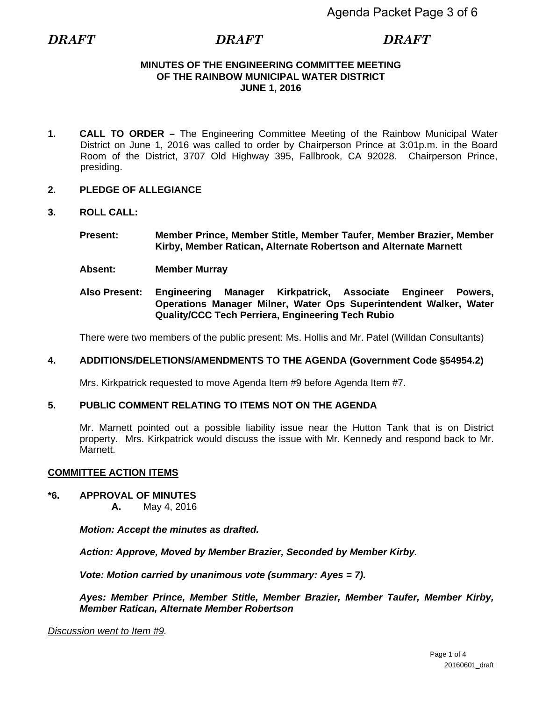# **MINUTES OF THE ENGINEERING COMMITTEE MEETING OF THE RAINBOW MUNICIPAL WATER DISTRICT JUNE 1, 2016**

- <span id="page-2-0"></span>**1. CALL TO ORDER –** The Engineering Committee Meeting of the Rainbow Municipal Water District on June 1, 2016 was called to order by Chairperson Prince at 3:01p.m. in the Board Room of the District, 3707 Old Highway 395, Fallbrook, CA 92028. Chairperson Prince, presiding.
- **2. PLEDGE OF ALLEGIANCE**
- **3. ROLL CALL:**
	- **Present: Member Prince, Member Stitle, Member Taufer, Member Brazier, Member Kirby, Member Ratican, Alternate Robertson and Alternate Marnett**
	- **Absent: Member Murray**
	- **Also Present: Engineering Manager Kirkpatrick, Associate Engineer Powers, Operations Manager Milner, Water Ops Superintendent Walker, Water Quality/CCC Tech Perriera, Engineering Tech Rubio**

There were two members of the public present: Ms. Hollis and Mr. Patel (Willdan Consultants)

# **4. ADDITIONS/DELETIONS/AMENDMENTS TO THE AGENDA (Government Code §54954.2)**

Mrs. Kirkpatrick requested to move Agenda Item #9 before Agenda Item #7.

# **5. PUBLIC COMMENT RELATING TO ITEMS NOT ON THE AGENDA**

Mr. Marnett pointed out a possible liability issue near the Hutton Tank that is on District property. Mrs. Kirkpatrick would discuss the issue with Mr. Kennedy and respond back to Mr. Marnett.

# **COMMITTEE ACTION ITEMS**

# **\*6. APPROVAL OF MINUTES**

**A.** May 4, 2016

*Motion: Accept the minutes as drafted.* 

*Action: Approve, Moved by Member Brazier, Seconded by Member Kirby.* 

*Vote: Motion carried by unanimous vote (summary: Ayes = 7).* 

*Ayes: Member Prince, Member Stitle, Member Brazier, Member Taufer, Member Kirby, Member Ratican, Alternate Member Robertson* 

*Discussion went to Item #9.*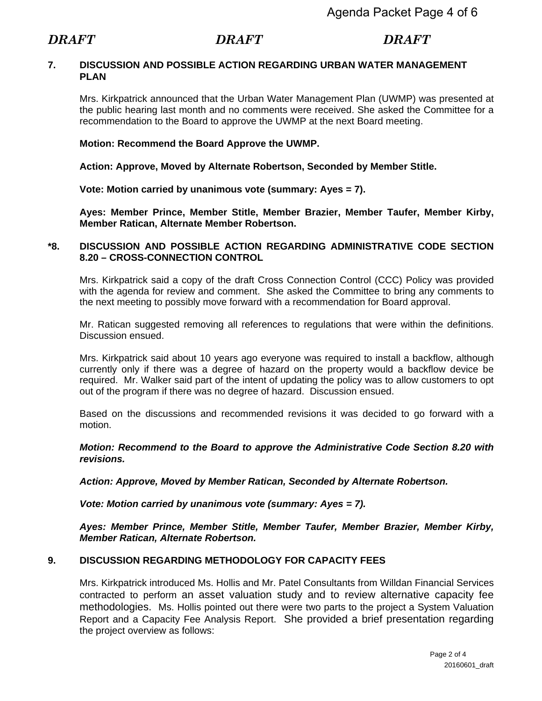# **7. DISCUSSION AND POSSIBLE ACTION REGARDING URBAN WATER MANAGEMENT PLAN**

Mrs. Kirkpatrick announced that the Urban Water Management Plan (UWMP) was presented at the public hearing last month and no comments were received. She asked the Committee for a recommendation to the Board to approve the UWMP at the next Board meeting.

# **Motion: Recommend the Board Approve the UWMP.**

**Action: Approve, Moved by Alternate Robertson, Seconded by Member Stitle.** 

**Vote: Motion carried by unanimous vote (summary: Ayes = 7).** 

**Ayes: Member Prince, Member Stitle, Member Brazier, Member Taufer, Member Kirby, Member Ratican, Alternate Member Robertson.** 

# **\*8. DISCUSSION AND POSSIBLE ACTION REGARDING ADMINISTRATIVE CODE SECTION 8.20 – CROSS-CONNECTION CONTROL**

Mrs. Kirkpatrick said a copy of the draft Cross Connection Control (CCC) Policy was provided with the agenda for review and comment. She asked the Committee to bring any comments to the next meeting to possibly move forward with a recommendation for Board approval.

Mr. Ratican suggested removing all references to regulations that were within the definitions. Discussion ensued.

Mrs. Kirkpatrick said about 10 years ago everyone was required to install a backflow, although currently only if there was a degree of hazard on the property would a backflow device be required. Mr. Walker said part of the intent of updating the policy was to allow customers to opt out of the program if there was no degree of hazard. Discussion ensued.

Based on the discussions and recommended revisions it was decided to go forward with a motion.

*Motion: Recommend to the Board to approve the Administrative Code Section 8.20 with revisions.* 

*Action: Approve, Moved by Member Ratican, Seconded by Alternate Robertson.* 

*Vote: Motion carried by unanimous vote (summary: Ayes = 7).* 

*Ayes: Member Prince, Member Stitle, Member Taufer, Member Brazier, Member Kirby, Member Ratican, Alternate Robertson.* 

# **9. DISCUSSION REGARDING METHODOLOGY FOR CAPACITY FEES**

Mrs. Kirkpatrick introduced Ms. Hollis and Mr. Patel Consultants from Willdan Financial Services contracted to perform an asset valuation study and to review alternative capacity fee methodologies. Ms. Hollis pointed out there were two parts to the project a System Valuation Report and a Capacity Fee Analysis Report. She provided a brief presentation regarding the project overview as follows: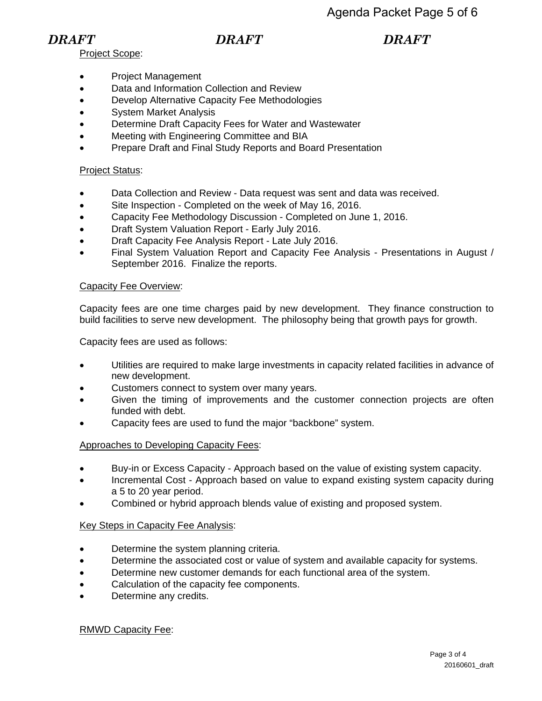Project Scope:

- Project Management
- Data and Information Collection and Review
- Develop Alternative Capacity Fee Methodologies
- System Market Analysis
- Determine Draft Capacity Fees for Water and Wastewater
- Meeting with Engineering Committee and BIA
- Prepare Draft and Final Study Reports and Board Presentation

# Project Status:

- Data Collection and Review Data request was sent and data was received.
- Site Inspection Completed on the week of May 16, 2016.
- Capacity Fee Methodology Discussion Completed on June 1, 2016.
- Draft System Valuation Report Early July 2016.
- **•** Draft Capacity Fee Analysis Report Late July 2016.
- Final System Valuation Report and Capacity Fee Analysis Presentations in August / September 2016. Finalize the reports.

# Capacity Fee Overview:

Capacity fees are one time charges paid by new development. They finance construction to build facilities to serve new development. The philosophy being that growth pays for growth.

Capacity fees are used as follows:

- Utilities are required to make large investments in capacity related facilities in advance of new development.
- Customers connect to system over many years.
- Given the timing of improvements and the customer connection projects are often funded with debt.
- Capacity fees are used to fund the major "backbone" system.

# Approaches to Developing Capacity Fees:

- Buy-in or Excess Capacity Approach based on the value of existing system capacity.
- Incremental Cost Approach based on value to expand existing system capacity during a 5 to 20 year period.
- Combined or hybrid approach blends value of existing and proposed system.

# Key Steps in Capacity Fee Analysis:

- Determine the system planning criteria.
- Determine the associated cost or value of system and available capacity for systems.
- Determine new customer demands for each functional area of the system.
- Calculation of the capacity fee components.
- Determine any credits.

# RMWD Capacity Fee: